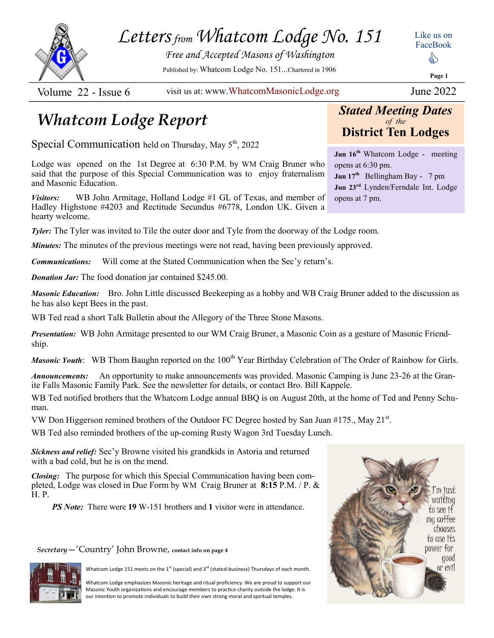

*Lettersfrom Whatcom Lodge No. 151* 

*Free and Accepted Masons of Washington* 

Published by: Whatcom Lodge No. 151...Chartered in 1906

Like us on FaceBook  $\begin{picture}(20,20) \put(0,0){\line(1,0){155}} \put(15,0){\line(1,0){155}} \put(15,0){\line(1,0){155}} \put(15,0){\line(1,0){155}} \put(15,0){\line(1,0){155}} \put(15,0){\line(1,0){155}} \put(15,0){\line(1,0){155}} \put(15,0){\line(1,0){155}} \put(15,0){\line(1,0){155}} \put(15,0){\line(1,0){155}} \put(15,0){\line(1,0){155}} \$ 

Volume 22 - Issue 6 visit us at: www.WhatcomMasonicLodge.org June 2022

*Stated Meeting Dates of the* **District Ten Lodges**

**Jun 16th** Whatcom Lodge - meeting

**Jun 17th**Bellingham Bay - 7 pm **Jun 23rd** Lynden/Ferndale Int. Lodge

opens at 6:30 pm.

opens at 7 pm.

**Page 1**

# *Whatcom Lodge Report*

Special Communication held on Thursday, May  $5<sup>th</sup>$ , 2022

Lodge was opened on the 1st Degree at 6:30 P.M. by WM Craig Bruner who said that the purpose of this Special Communication was to enjoy fraternalism and Masonic Education.

*Visitors:* WB John Armitage, Holland Lodge #1 GL of Texas, and member of Hadley Highstone #4203 and Rectitude Secundus #6778, London UK. Given a hearty welcome.

*Tyler:* The Tyler was invited to Tile the outer door and Tyle from the doorway of the Lodge room.

*Minutes:* The minutes of the previous meetings were not read, having been previously approved.

*Communications:* Will come at the Stated Communication when the Sec'y return's.

*Donation Jar:* The food donation jar contained \$245.00.

*Masonic Education:* Bro. John Little discussed Beekeeping as a hobby and WB Craig Bruner added to the discussion as he has also kept Bees in the past.

WB Ted read a short Talk Bulletin about the Allegory of the Three Stone Masons.

*Presentation:* WB John Armitage presented to our WM Craig Bruner, a Masonic Coin as a gesture of Masonic Friendship.

*Masonic Youth*: WB Thom Baughn reported on the 100<sup>th</sup> Year Birthday Celebration of The Order of Rainbow for Girls.

*Announcements:* An opportunity to make announcements was provided. Masonic Camping is June 23-26 at the Granite Falls Masonic Family Park. See the newsletter for details, or contact Bro. Bill Kappele.

WB Ted notified brothers that the Whatcom Lodge annual BBQ is on August 20th, at the home of Ted and Penny Schuman.

VW Don Higgerson remined brothers of the Outdoor FC Degree hosted by San Juan #175., May 21st.

WB Ted also reminded brothers of the up-coming Rusty Wagon 3rd Tuesday Lunch.

*Sickness and relief:* Sec'y Browne visited his grandkids in Astoria and returned with a bad cold, but he is on the mend.

*Closing:* The purpose for which this Special Communication having been completed, Lodge was closed in Due Form by WM Craig Bruner at **8:15** P.M. / P. & H. P.

*PS Note:* There were 19 W-151 brothers and 1 visitor were in attendance.

*Secretary*—'Country' John Browne, **contact info on page 4**



Whatcom Lodge emphasizes Masonic heritage and ritual proficiency. We are proud to support our Masonic Youth organizations and encourage members to practice charity outside the lodge. It is our intention to promote individuals to build their own strong moral and spiritual temples.

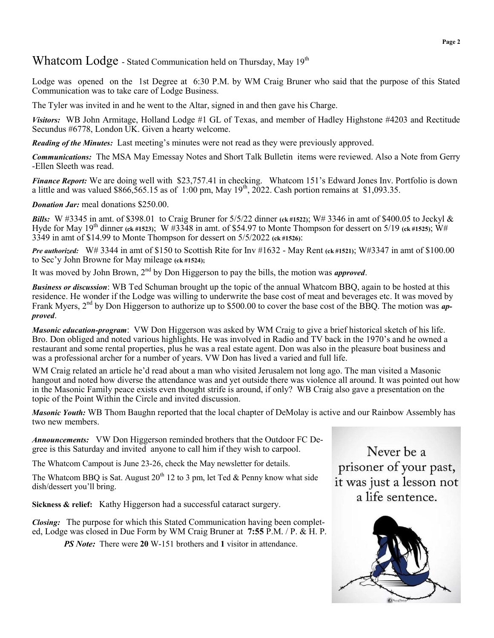### Whatcom Lodge - Stated Communication held on Thursday, May 19th

Lodge was opened on the 1st Degree at 6:30 P.M. by WM Craig Bruner who said that the purpose of this Stated Communication was to take care of Lodge Business.

The Tyler was invited in and he went to the Altar, signed in and then gave his Charge.

*Visitors:* WB John Armitage, Holland Lodge #1 GL of Texas, and member of Hadley Highstone #4203 and Rectitude Secundus #6778, London UK. Given a hearty welcome.

*Reading of the Minutes:* Last meeting's minutes were not read as they were previously approved.

*Communications:* The MSA May Emessay Notes and Short Talk Bulletin items were reviewed. Also a Note from Gerry -Ellen Sleeth was read.

*Finance Report:* We are doing well with \$23,757.41 in checking. Whatcom 151's Edward Jones Inv. Portfolio is down a little and was valued \$866,565.15 as of 1:00 pm, May  $19<sup>th</sup>$ , 2022. Cash portion remains at \$1,093.35.

*Donation Jar:* meal donations \$250.00.

*Bills:* W #3345 in amt. of \$398.01 to Craig Bruner for 5/5/22 dinner **(ck #1522)**; W# 3346 in amt of \$400.05 to Jeckyl & Hyde for May 19th dinner **(ck #1523)**; W #3348 in amt. of \$54.97 to Monte Thompson for dessert on 5/19 **(ck #1525)**; W# 3349 in amt of \$14.99 to Monte Thompson for dessert on 5/5/2022 **(ck #1526)**:

*Pre authorized:* W# 3344 in amt of \$150 to Scottish Rite for Inv #1632 - May Rent **(ck #1521)**; W#3347 in amt of \$100.00 to Sec'y John Browne for May mileage **(ck #1524);** 

It was moved by John Brown, 2nd by Don Higgerson to pay the bills, the motion was *approved*.

*Business or discussion*: WB Ted Schuman brought up the topic of the annual Whatcom BBQ, again to be hosted at this residence. He wonder if the Lodge was willing to underwrite the base cost of meat and beverages etc. It was moved by Frank Myers, 2<sup>nd</sup> by Don Higgerson to authorize up to \$500.00 to cover the base cost of the BBQ. The motion was *approved*.

*Masonic education-program*: VW Don Higgerson was asked by WM Craig to give a brief historical sketch of his life. Bro. Don obliged and noted various highlights. He was involved in Radio and TV back in the 1970's and he owned a restaurant and some rental properties, plus he was a real estate agent. Don was also in the pleasure boat business and was a professional archer for a number of years. VW Don has lived a varied and full life.

WM Craig related an article he'd read about a man who visited Jerusalem not long ago. The man visited a Masonic hangout and noted how diverse the attendance was and yet outside there was violence all around. It was pointed out how in the Masonic Family peace exists even thought strife is around, if only? WB Craig also gave a presentation on the topic of the Point Within the Circle and invited discussion.

*Masonic Youth:* WB Thom Baughn reported that the local chapter of DeMolay is active and our Rainbow Assembly has two new members.

*Announcements:* VW Don Higgerson reminded brothers that the Outdoor FC Degree is this Saturday and invited anyone to call him if they wish to carpool.

The Whatcom Campout is June 23-26, check the May newsletter for details.

The Whatcom BBQ is Sat. August  $20^{th}$  12 to 3 pm, let Ted & Penny know what side dish/dessert you'll bring.

**Sickness & relief:** Kathy Higgerson had a successful cataract surgery.

*Closing:* The purpose for which this Stated Communication having been completed, Lodge was closed in Due Form by WM Craig Bruner at **7:55** P.M. / P. & H. P.

*PS Note:* There were 20 W-151 brothers and 1 visitor in attendance.

Never be a prisoner of your past, it was just a lesson not a life sentence.

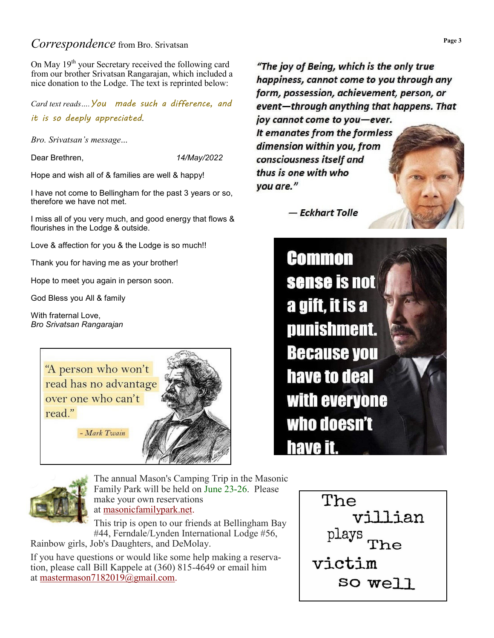## *Correspondence* from Bro. Srivatsan

On May 19<sup>th</sup> your Secretary received the following card from our brother Srivatsan Rangarajan, which included a nice donation to the Lodge. The text is reprinted below:

*Card text reads….*You made such a difference, and it is so deeply appreciated.

*Bro. Srivatsan's message*...

Dear Brethren, *14/May/2022*

Hope and wish all of & families are well & happy!

I have not come to Bellingham for the past 3 years or so, therefore we have not met.

I miss all of you very much, and good energy that flows & flourishes in the Lodge & outside.

Love & affection for you & the Lodge is so much!!

Thank you for having me as your brother!

Hope to meet you again in person soon.

God Bless you All & family

With fraternal Love, *Bro Srivatsan Rangarajan*

> "A person who won't read has no advantage over one who can't read."



- Mark Twain



The annual Mason's Camping Trip in the Masonic Family Park will be held on June 23-26. Please make your own reservations at [masonicfamilypark.net.](http://masonicfamilypark.net/)

This trip is open to our friends at Bellingham Bay #44, Ferndale/Lynden International Lodge #56,

Rainbow girls, Job's Daughters, and DeMolay.

If you have questions or would like some help making a reservation, please call Bill Kappele at (360) 815-4649 or email him at [mastermason7182019@gmail.com.](mailto:mastermason7182019@gmail.com)

"The joy of Being, which is the only true happiness, cannot come to you through any form, possession, achievement, person, or event-through anything that happens. That

joy cannot come to you-ever. It emanates from the formless dimension within you, from consciousness itself and thus is one with who you are."



- Eckhart Tolle

**Common** sense is not a gift, it is a punishment. **Because you** have to deal with everyone who doesn't **have**